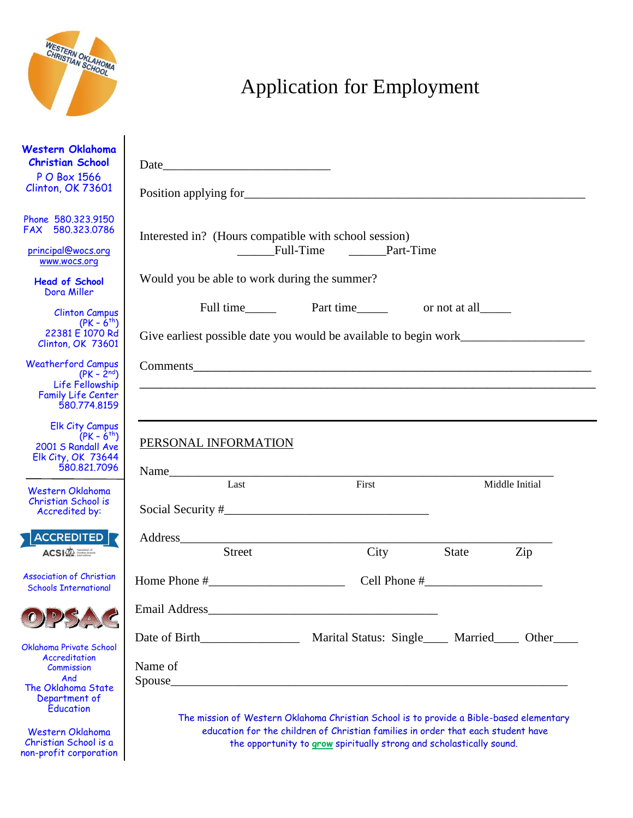

Christian School is a non-profit corporation

# Application for Employment

| Western Oklahoma<br><b>Christian School</b><br>P O Box 1566<br>Clinton, OK 73601                             | Date and the state of the state of the state of the state of the state of the state of the state of the state of the state of the state of the state of the state of the state of the state of the state of the state of the s |                                                                                                                                                                             |              |                |  |  |
|--------------------------------------------------------------------------------------------------------------|--------------------------------------------------------------------------------------------------------------------------------------------------------------------------------------------------------------------------------|-----------------------------------------------------------------------------------------------------------------------------------------------------------------------------|--------------|----------------|--|--|
| Phone 580.323.9150<br>FAX 580.323.0786<br>principal@wocs.org<br>www.wocs.org                                 | Interested in? (Hours compatible with school session)<br>Full-Time Part-Time                                                                                                                                                   |                                                                                                                                                                             |              |                |  |  |
| <b>Head of School</b><br>Dora Miller                                                                         | Would you be able to work during the summer?                                                                                                                                                                                   |                                                                                                                                                                             |              |                |  |  |
| <b>Clinton Campus</b><br>$(PK - 6^{th})$<br>22381 E 1070 Rd<br>Clinton, OK 73601                             | Give earliest possible date you would be available to begin work________________                                                                                                                                               |                                                                                                                                                                             |              |                |  |  |
| <b>Weatherford Campus</b><br>$(PK - 2nd)$<br>Life Fellowship<br><b>Family Life Center</b><br>580.774.8159    |                                                                                                                                                                                                                                |                                                                                                                                                                             |              |                |  |  |
| <b>Elk City Campus</b><br>$(PK - 6^{th})$<br>2001 S Randall Ave<br><b>Elk City, OK 73644</b><br>580.821.7096 | PERSONAL INFORMATION                                                                                                                                                                                                           |                                                                                                                                                                             |              |                |  |  |
| Western Oklahoma<br>Christian School is<br>Accredited by:                                                    | Last                                                                                                                                                                                                                           | First                                                                                                                                                                       |              | Middle Initial |  |  |
| ACCREDITED <b>R</b><br>$ACSI\overline{\bigotimes}$                                                           | Address<br><b>Street</b>                                                                                                                                                                                                       |                                                                                                                                                                             |              |                |  |  |
| <b>Association of Christian</b><br><b>Schools International</b>                                              | Home Phone #                                                                                                                                                                                                                   | City<br>Cell Phone $#$                                                                                                                                                      | <b>State</b> | Zip            |  |  |
|                                                                                                              | Email Address here are a series of the series of the series of the series of the series of the series of the series of the series of the series of the series of the series of the series of the series of the series of the s |                                                                                                                                                                             |              |                |  |  |
| Oklahoma Private School<br>Accreditation<br><b>Commission</b><br>And<br>The Oklahoma State                   | Name of<br>Spouse                                                                                                                                                                                                              |                                                                                                                                                                             |              |                |  |  |
| Department of<br>Education<br>Western Oklahoma                                                               |                                                                                                                                                                                                                                | The mission of Western Oklahoma Christian School is to provide a Bible-based elementary<br>education for the children of Christian families in order that each student have |              |                |  |  |

the opportunity to **grow** spiritually strong and scholastically sound.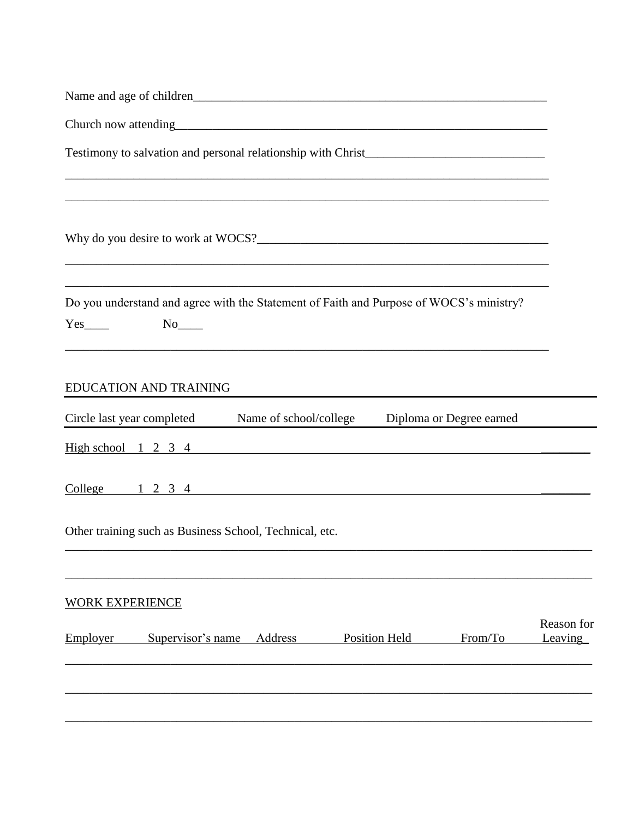| Name and age of children <b>Name and age of children</b>                                                                                                                                                                           |         |                                                                                                                      |         |                       |
|------------------------------------------------------------------------------------------------------------------------------------------------------------------------------------------------------------------------------------|---------|----------------------------------------------------------------------------------------------------------------------|---------|-----------------------|
|                                                                                                                                                                                                                                    |         |                                                                                                                      |         |                       |
|                                                                                                                                                                                                                                    |         | <u> 1989 - Jan James James James James James James James James James James James James James James James James J</u> |         |                       |
|                                                                                                                                                                                                                                    |         |                                                                                                                      |         |                       |
| Do you understand and agree with the Statement of Faith and Purpose of WOCS's ministry?<br>$Yes$ No $No$                                                                                                                           |         | ,我们也不会有什么。""我们的人,我们也不会有什么?""我们的人,我们也不会有什么?""我们的人,我们也不会有什么?""我们的人,我们也不会有什么?""我们的人                                     |         |                       |
| EDUCATION AND TRAINING                                                                                                                                                                                                             |         |                                                                                                                      |         |                       |
| Circle last year completed Name of school/college Diploma or Degree earned                                                                                                                                                         |         |                                                                                                                      |         |                       |
| $High school$ 1 2 3 4                                                                                                                                                                                                              |         |                                                                                                                      |         |                       |
| <u>College 1 2 3 4 college</u> 1 2 3 4 college 2 5 and 2 3 4 college 3 4 college 3 4 college 3 4 college 3 4 college 3 4 college 3 4 college 3 4 college 3 4 college 3 4 college 3 4 college 3 4 college 3 4 college 3 4 college 3 |         |                                                                                                                      |         |                       |
| Other training such as Business School, Technical, etc.                                                                                                                                                                            |         |                                                                                                                      |         |                       |
| <b>WORK EXPERIENCE</b>                                                                                                                                                                                                             |         |                                                                                                                      |         |                       |
| Employer<br>Supervisor's name                                                                                                                                                                                                      | Address | <b>Position Held</b>                                                                                                 | From/To | Reason for<br>Leaving |
|                                                                                                                                                                                                                                    |         |                                                                                                                      |         |                       |
|                                                                                                                                                                                                                                    |         |                                                                                                                      |         |                       |
|                                                                                                                                                                                                                                    |         |                                                                                                                      |         |                       |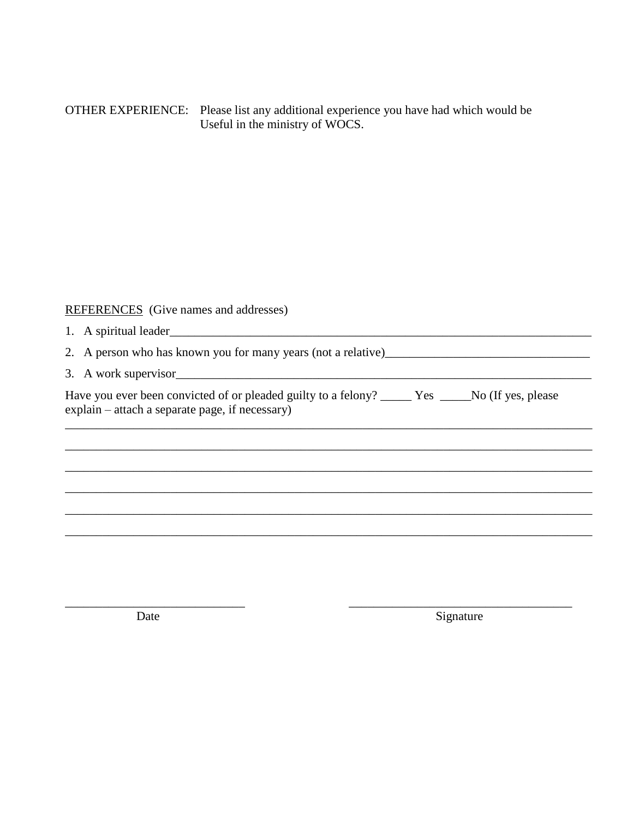OTHER EXPERIENCE: Please list any additional experience you have had which would be Useful in the ministry of WOCS.

## REFERENCES (Give names and addresses)

| 1. A spiritual leader <b>All Accords</b> 2.1 <b>A</b>                                                                                                   |
|---------------------------------------------------------------------------------------------------------------------------------------------------------|
| 2. A person who has known you for many years (not a relative)                                                                                           |
| 3. A work supervisor                                                                                                                                    |
| Have you ever been convicted of or pleaded guilty to a felony? ________ Yes ______No (If yes, please<br>explain – attach a separate page, if necessary) |
|                                                                                                                                                         |
|                                                                                                                                                         |
|                                                                                                                                                         |
|                                                                                                                                                         |

Date

Signature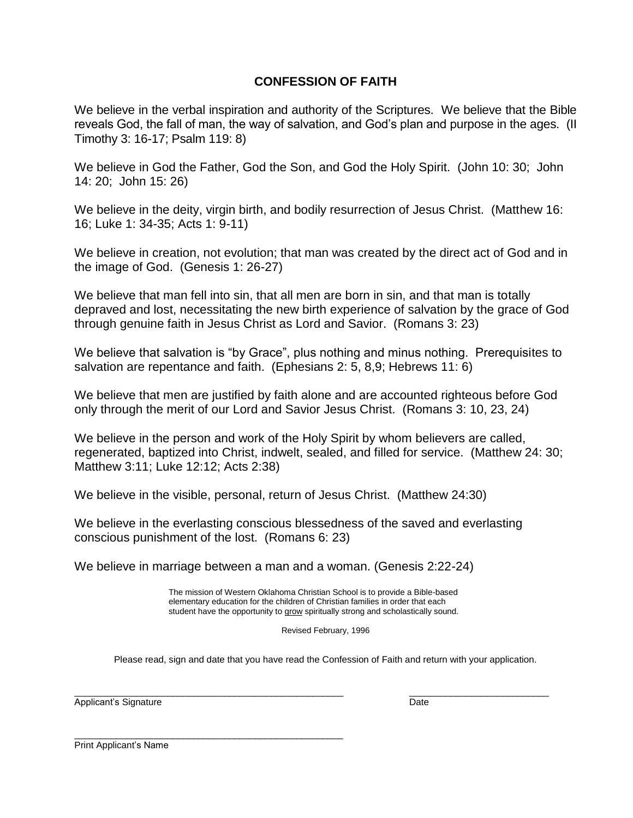## **CONFESSION OF FAITH**

We believe in the verbal inspiration and authority of the Scriptures. We believe that the Bible reveals God, the fall of man, the way of salvation, and God's plan and purpose in the ages. (II Timothy 3: 16-17; Psalm 119: 8)

We believe in God the Father, God the Son, and God the Holy Spirit. (John 10: 30; John 14: 20; John 15: 26)

We believe in the deity, virgin birth, and bodily resurrection of Jesus Christ. (Matthew 16: 16; Luke 1: 34-35; Acts 1: 9-11)

We believe in creation, not evolution; that man was created by the direct act of God and in the image of God. (Genesis 1: 26-27)

We believe that man fell into sin, that all men are born in sin, and that man is totally depraved and lost, necessitating the new birth experience of salvation by the grace of God through genuine faith in Jesus Christ as Lord and Savior. (Romans 3: 23)

We believe that salvation is "by Grace", plus nothing and minus nothing. Prerequisites to salvation are repentance and faith. (Ephesians 2: 5, 8,9; Hebrews 11: 6)

We believe that men are justified by faith alone and are accounted righteous before God only through the merit of our Lord and Savior Jesus Christ. (Romans 3: 10, 23, 24)

We believe in the person and work of the Holy Spirit by whom believers are called, regenerated, baptized into Christ, indwelt, sealed, and filled for service. (Matthew 24: 30; Matthew 3:11; Luke 12:12; Acts 2:38)

We believe in the visible, personal, return of Jesus Christ. (Matthew 24:30)

We believe in the everlasting conscious blessedness of the saved and everlasting conscious punishment of the lost. (Romans 6: 23)

We believe in marriage between a man and a woman. (Genesis 2:22-24)

 The mission of Western Oklahoma Christian School is to provide a Bible-based elementary education for the children of Christian families in order that each student have the opportunity to grow spiritually strong and scholastically sound.

\_\_\_\_\_\_\_\_\_\_\_\_\_\_\_\_\_\_\_\_\_\_\_\_\_\_\_\_\_\_\_\_\_\_\_\_\_\_\_\_\_\_\_\_\_\_\_\_\_\_\_\_ \_\_\_\_\_\_\_\_\_\_\_\_\_\_\_\_\_\_\_\_\_\_\_\_\_\_\_

Revised February, 1996

Please read, sign and date that you have read the Confession of Faith and return with your application.

Applicant's Signature **Date** Date of *Applicant's Signature* Date Date of *Date* Date Date

Print Applicant's Name

\_\_\_\_\_\_\_\_\_\_\_\_\_\_\_\_\_\_\_\_\_\_\_\_\_\_\_\_\_\_\_\_\_\_\_\_\_\_\_\_\_\_\_\_\_\_\_\_\_\_\_\_